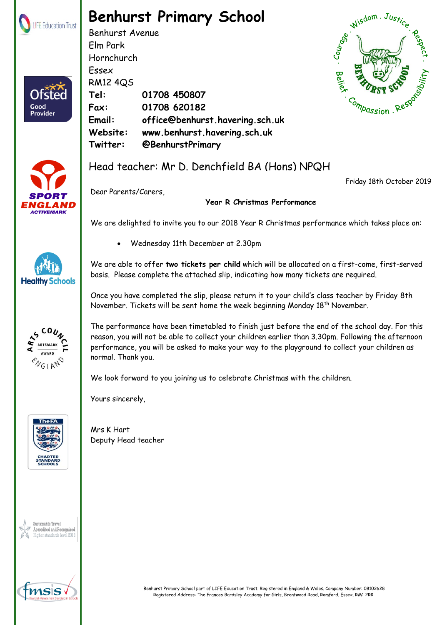

## **Benhurst Primary School**

Benhurst Avenue Elm Park Hornchurch Essex RM12 4QS **Tel: 01708 450807 Fax: 01708 620182 Email: office@benhurst.havering.sch.uk Website: www.benhurst.havering.sch.uk Twitter: @BenhurstPrimary**





**Healthy Schools** 

**AWARD ENGLAND** 

Good Provider

## Head teacher: Mr D. Denchfield BA (Hons) NPQH

Friday 18th October 2019



## **Year R Christmas Performance**

We are delighted to invite you to our 2018 Year R Christmas performance which takes place on:

Wednesday 11th December at 2.30pm

We are able to offer **two tickets per child** which will be allocated on a first-come, first-served basis. Please complete the attached slip, indicating how many tickets are required.

Once you have completed the slip, please return it to your child's class teacher by Friday 8th November. Tickets will be sent home the week beginning Monday 18<sup>th</sup> November.

The performance have been timetabled to finish just before the end of the school day. For this reason, you will not be able to collect your children earlier than 3.30pm. Following the afternoon performance, you will be asked to make your way to the playground to collect your children as normal. Thank you.

We look forward to you joining us to celebrate Christmas with the children.

Yours sincerely,







Mrs K Hart Deputy Head teacher